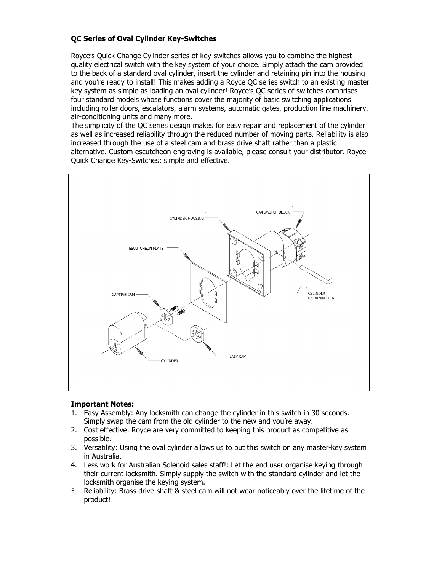## **QC Series of Oval Cylinder Key-Switches**

Royce's Quick Change Cylinder series of key-switches allows you to combine the highest quality electrical switch with the key system of your choice. Simply attach the cam provided to the back of a standard oval cylinder, insert the cylinder and retaining pin into the housing and you're ready to install! This makes adding a Royce QC series switch to an existing master key system as simple as loading an oval cylinder! Royce's QC series of switches comprises four standard models whose functions cover the majority of basic switching applications including roller doors, escalators, alarm systems, automatic gates, production line machinery, air-conditioning units and many more.

The simplicity of the QC series design makes for easy repair and replacement of the cylinder as well as increased reliability through the reduced number of moving parts. Reliability is also increased through the use of a steel cam and brass drive shaft rather than a plastic alternative. Custom escutcheon engraving is available, please consult your distributor. Royce Quick Change Key-Switches: simple and effective.



## **Important Notes:**

- 1. Easy Assembly: Any locksmith can change the cylinder in this switch in 30 seconds. Simply swap the cam from the old cylinder to the new and you're away.
- 2. Cost effective. Royce are very committed to keeping this product as competitive as possible.
- 3. Versatility: Using the oval cylinder allows us to put this switch on any master-key system in Australia.
- 4. Less work for Australian Solenoid sales staff!: Let the end user organise keying through their current locksmith. Simply supply the switch with the standard cylinder and let the locksmith organise the keying system.
- 5. Reliability: Brass drive-shaft & steel cam will not wear noticeably over the lifetime of the product!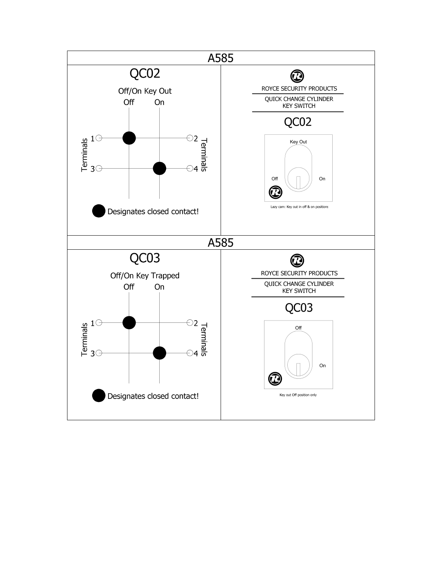